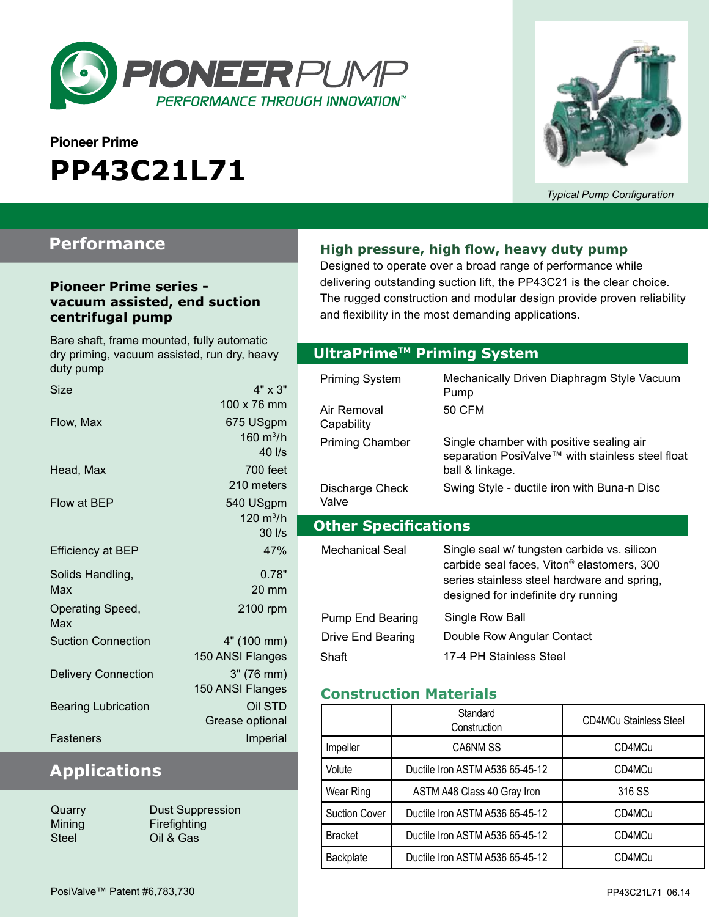

# **Pioneer Prime PP43C21L71**



*Typical Pump Configuration*

### **Performance**

#### **Pioneer Prime series vacuum assisted, end suction centrifugal pump**

Bare shaft, frame mounted, fully automatic dry priming, vacuum assisted, run dry, heavy duty pump

| Size                       | $4" \times 3"$      |
|----------------------------|---------------------|
|                            | 100 x 76 mm         |
| Flow, Max                  | 675 USgpm           |
|                            | 160 $m^3/h$         |
|                            | 40 l/s              |
| Head, Max                  | 700 feet            |
|                            | 210 meters          |
| Flow at BEP                | 540 USgpm           |
|                            | $120 \text{ m}^3/h$ |
|                            | $30$ $\text{I/s}$   |
| <b>Efficiency at BEP</b>   | 47%                 |
| Solids Handling,           | 0.78"               |
| Max                        | $20 \text{ mm}$     |
| Operating Speed,           | 2100 rpm            |
| Max                        |                     |
| <b>Suction Connection</b>  | 4" (100 mm)         |
|                            | 150 ANSI Flanges    |
| <b>Delivery Connection</b> | 3" (76 mm)          |
|                            | 150 ANSI Flanges    |
| <b>Bearing Lubrication</b> | Oil STD             |
|                            | Grease optional     |
| Fasteners                  | Imperial            |
|                            |                     |

### **Applications**

Quarry **Dust Suppression** Mining **Firefighting** Steel Oil & Gas

#### **High pressure, high flow, heavy duty pump**

Designed to operate over a broad range of performance while delivering outstanding suction lift, the PP43C21 is the clear choice. The rugged construction and modular design provide proven reliability and flexibility in the most demanding applications.

#### **Optional Priming System UltraPrimeTM Priming System**

| Priming System<br>Air Removal<br>Capability | Mechanically Driven Diaphragm Style Vacuum<br>Pump<br>50 CFM                                                                                                                                |
|---------------------------------------------|---------------------------------------------------------------------------------------------------------------------------------------------------------------------------------------------|
| <b>Priming Chamber</b>                      | Single chamber with positive sealing air<br>separation PosiValve™ with stainless steel float<br>ball & linkage.                                                                             |
| Discharge Check<br>Valve                    | Swing Style - ductile iron with Buna-n Disc                                                                                                                                                 |
|                                             |                                                                                                                                                                                             |
| <b>Other Specifications</b>                 |                                                                                                                                                                                             |
| Mechanical Seal                             | Single seal w/ tungsten carbide vs. silicon<br>carbide seal faces, Viton <sup>®</sup> elastomers, 300<br>series stainless steel hardware and spring,<br>designed for indefinite dry running |

#### **Construction Materials**

|                | Standard<br>Construction        | <b>CD4MCu Stainless Steel</b> |  |
|----------------|---------------------------------|-------------------------------|--|
| Impeller       | CA6NM SS                        | CD4MCu                        |  |
| Volute         | Ductile Iron ASTM A536 65-45-12 | CD4MCu                        |  |
| Wear Ring      | ASTM A48 Class 40 Gray Iron     | 316 SS                        |  |
| Suction Cover  | Ductile Iron ASTM A536 65-45-12 | CD4MCu                        |  |
| <b>Bracket</b> | Ductile Iron ASTM A536 65-45-12 | CD4MCu                        |  |
| Backplate      | Ductile Iron ASTM A536 65-45-12 | CD4MCu                        |  |